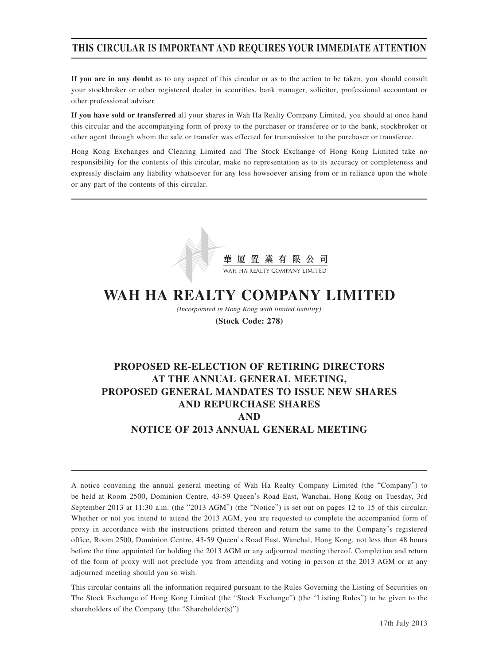## **THIS CIRCULAR IS IMPORTANT AND REQUIRES YOUR IMMEDIATE ATTENTION**

**If you are in any doubt** as to any aspect of this circular or as to the action to be taken, you should consult your stockbroker or other registered dealer in securities, bank manager, solicitor, professional accountant or other professional adviser.

**If you have sold or transferred** all your shares in Wah Ha Realty Company Limited, you should at once hand this circular and the accompanying form of proxy to the purchaser or transferee or to the bank, stockbroker or other agent through whom the sale or transfer was effected for transmission to the purchaser or transferee.

Hong Kong Exchanges and Clearing Limited and The Stock Exchange of Hong Kong Limited take no responsibility for the contents of this circular, make no representation as to its accuracy or completeness and expressly disclaim any liability whatsoever for any loss howsoever arising from or in reliance upon the whole or any part of the contents of this circular.



# **WAH HA REALTY COMPANY LIMITED**

(Incorporated in Hong Kong with limited liability) **(Stock Code: 278)**

## **PROPOSED RE-ELECTION OF RETIRING DIRECTORS AT THE ANNUAL GENERAL MEETING, PROPOSED GENERAL MANDATES TO ISSUE NEW SHARES AND REPURCHASE SHARES AND NOTICE OF 2013 ANNUAL GENERAL MEETING**

A notice convening the annual general meeting of Wah Ha Realty Company Limited (the "Company") to be held at Room 2500, Dominion Centre, 43-59 Queen's Road East, Wanchai, Hong Kong on Tuesday, 3rd September 2013 at 11:30 a.m. (the "2013 AGM") (the "Notice") is set out on pages 12 to 15 of this circular. Whether or not you intend to attend the 2013 AGM, you are requested to complete the accompanied form of proxy in accordance with the instructions printed thereon and return the same to the Company's registered office, Room 2500, Dominion Centre, 43-59 Queen's Road East, Wanchai, Hong Kong, not less than 48 hours before the time appointed for holding the 2013 AGM or any adjourned meeting thereof. Completion and return of the form of proxy will not preclude you from attending and voting in person at the 2013 AGM or at any adjourned meeting should you so wish.

This circular contains all the information required pursuant to the Rules Governing the Listing of Securities on The Stock Exchange of Hong Kong Limited (the "Stock Exchange") (the "Listing Rules") to be given to the shareholders of the Company (the "Shareholder(s)").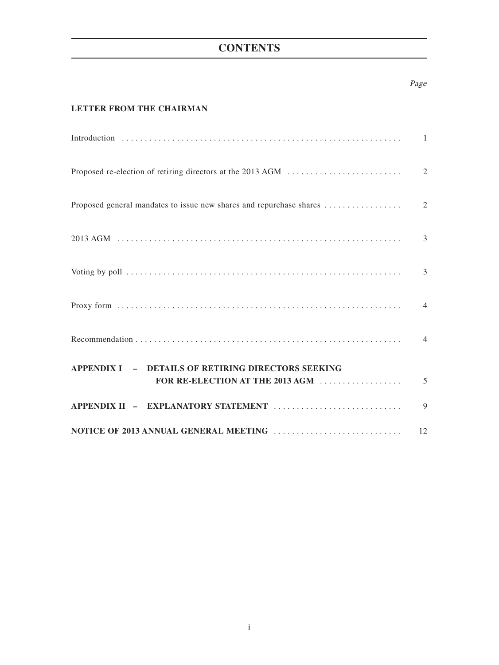## **CONTENTS**

## Page

## **LETTER FROM THE CHAIRMAN**

|                                                    | $\overline{3}$ |
|----------------------------------------------------|----------------|
|                                                    |                |
|                                                    |                |
|                                                    |                |
| APPENDIX I - DETAILS OF RETIRING DIRECTORS SEEKING |                |
|                                                    | 9              |
|                                                    | 12             |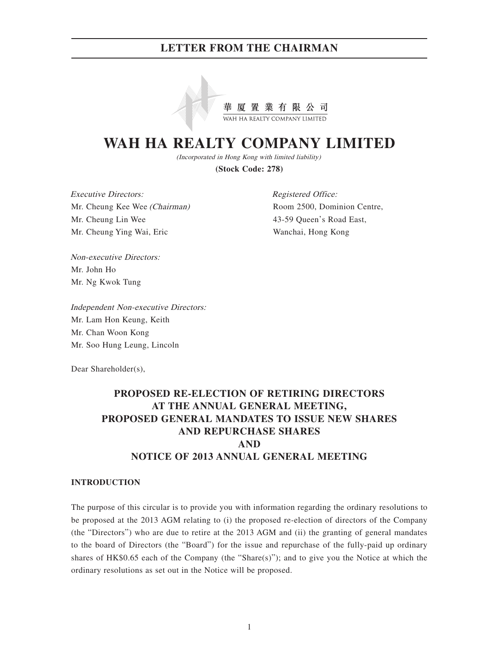

# **WAH HA REALTY COMPANY LIMITED**

(Incorporated in Hong Kong with limited liability)

**(Stock Code: 278)**

Executive Directors: Mr. Cheung Kee Wee (Chairman) Mr. Cheung Lin Wee Mr. Cheung Ying Wai, Eric

Registered Office: Room 2500, Dominion Centre, 43-59 Queen's Road East, Wanchai, Hong Kong

Non-executive Directors: Mr. John Ho Mr. Ng Kwok Tung

Independent Non-executive Directors: Mr. Lam Hon Keung, Keith Mr. Chan Woon Kong Mr. Soo Hung Leung, Lincoln

Dear Shareholder(s),

## **PROPOSED RE-ELECTION OF RETIRING DIRECTORS AT THE ANNUAL GENERAL MEETING, PROPOSED GENERAL MANDATES TO ISSUE NEW SHARES AND REPURCHASE SHARES AND NOTICE OF 2013 ANNUAL GENERAL MEETING**

#### **INTRODUCTION**

The purpose of this circular is to provide you with information regarding the ordinary resolutions to be proposed at the 2013 AGM relating to (i) the proposed re-election of directors of the Company (the "Directors") who are due to retire at the 2013 AGM and (ii) the granting of general mandates to the board of Directors (the "Board") for the issue and repurchase of the fully-paid up ordinary shares of  $HK$0.65$  each of the Company (the "Share(s)"); and to give you the Notice at which the ordinary resolutions as set out in the Notice will be proposed.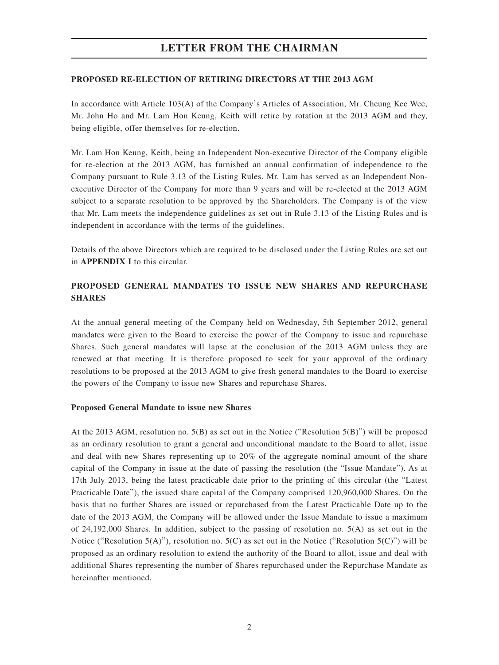#### **PROPOSED RE-ELECTION OF RETIRING DIRECTORS AT THE 2013 AGM**

In accordance with Article 103(A) of the Company's Articles of Association, Mr. Cheung Kee Wee, Mr. John Ho and Mr. Lam Hon Keung, Keith will retire by rotation at the 2013 AGM and they, being eligible, offer themselves for re-election.

Mr. Lam Hon Keung, Keith, being an Independent Non-executive Director of the Company eligible for re-election at the 2013 AGM, has furnished an annual confirmation of independence to the Company pursuant to Rule 3.13 of the Listing Rules. Mr. Lam has served as an Independent Nonexecutive Director of the Company for more than 9 years and will be re-elected at the 2013 AGM subject to a separate resolution to be approved by the Shareholders. The Company is of the view that Mr. Lam meets the independence guidelines as set out in Rule 3.13 of the Listing Rules and is independent in accordance with the terms of the guidelines.

Details of the above Directors which are required to be disclosed under the Listing Rules are set out in **APPENDIX I** to this circular.

## **PROPOSED GENERAL MANDATES TO ISSUE NEW SHARES AND REPURCHASE SHARES**

At the annual general meeting of the Company held on Wednesday, 5th September 2012, general mandates were given to the Board to exercise the power of the Company to issue and repurchase Shares. Such general mandates will lapse at the conclusion of the 2013 AGM unless they are renewed at that meeting. It is therefore proposed to seek for your approval of the ordinary resolutions to be proposed at the 2013 AGM to give fresh general mandates to the Board to exercise the powers of the Company to issue new Shares and repurchase Shares.

#### **Proposed General Mandate to issue new Shares**

At the 2013 AGM, resolution no. 5(B) as set out in the Notice ("Resolution 5(B)") will be proposed as an ordinary resolution to grant a general and unconditional mandate to the Board to allot, issue and deal with new Shares representing up to 20% of the aggregate nominal amount of the share capital of the Company in issue at the date of passing the resolution (the "Issue Mandate"). As at 17th July 2013, being the latest practicable date prior to the printing of this circular (the "Latest Practicable Date"), the issued share capital of the Company comprised 120,960,000 Shares. On the basis that no further Shares are issued or repurchased from the Latest Practicable Date up to the date of the 2013 AGM, the Company will be allowed under the Issue Mandate to issue a maximum of 24,192,000 Shares. In addition, subject to the passing of resolution no. 5(A) as set out in the Notice ("Resolution  $5(A)$ "), resolution no.  $5(C)$  as set out in the Notice ("Resolution  $5(C)$ ") will be proposed as an ordinary resolution to extend the authority of the Board to allot, issue and deal with additional Shares representing the number of Shares repurchased under the Repurchase Mandate as hereinafter mentioned.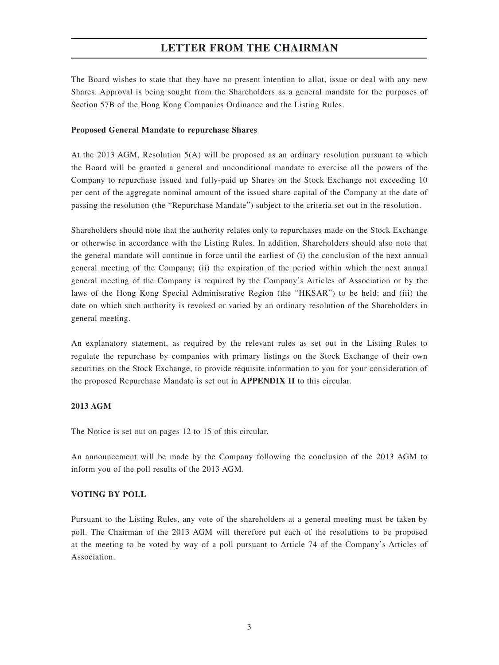The Board wishes to state that they have no present intention to allot, issue or deal with any new Shares. Approval is being sought from the Shareholders as a general mandate for the purposes of Section 57B of the Hong Kong Companies Ordinance and the Listing Rules.

#### **Proposed General Mandate to repurchase Shares**

At the 2013 AGM, Resolution 5(A) will be proposed as an ordinary resolution pursuant to which the Board will be granted a general and unconditional mandate to exercise all the powers of the Company to repurchase issued and fully-paid up Shares on the Stock Exchange not exceeding 10 per cent of the aggregate nominal amount of the issued share capital of the Company at the date of passing the resolution (the "Repurchase Mandate") subject to the criteria set out in the resolution.

Shareholders should note that the authority relates only to repurchases made on the Stock Exchange or otherwise in accordance with the Listing Rules. In addition, Shareholders should also note that the general mandate will continue in force until the earliest of (i) the conclusion of the next annual general meeting of the Company; (ii) the expiration of the period within which the next annual general meeting of the Company is required by the Company's Articles of Association or by the laws of the Hong Kong Special Administrative Region (the "HKSAR") to be held; and (iii) the date on which such authority is revoked or varied by an ordinary resolution of the Shareholders in general meeting.

An explanatory statement, as required by the relevant rules as set out in the Listing Rules to regulate the repurchase by companies with primary listings on the Stock Exchange of their own securities on the Stock Exchange, to provide requisite information to you for your consideration of the proposed Repurchase Mandate is set out in **APPENDIX II** to this circular.

#### **2013 AGM**

The Notice is set out on pages 12 to 15 of this circular.

An announcement will be made by the Company following the conclusion of the 2013 AGM to inform you of the poll results of the 2013 AGM.

#### **VOTING BY POLL**

Pursuant to the Listing Rules, any vote of the shareholders at a general meeting must be taken by poll. The Chairman of the 2013 AGM will therefore put each of the resolutions to be proposed at the meeting to be voted by way of a poll pursuant to Article 74 of the Company's Articles of Association.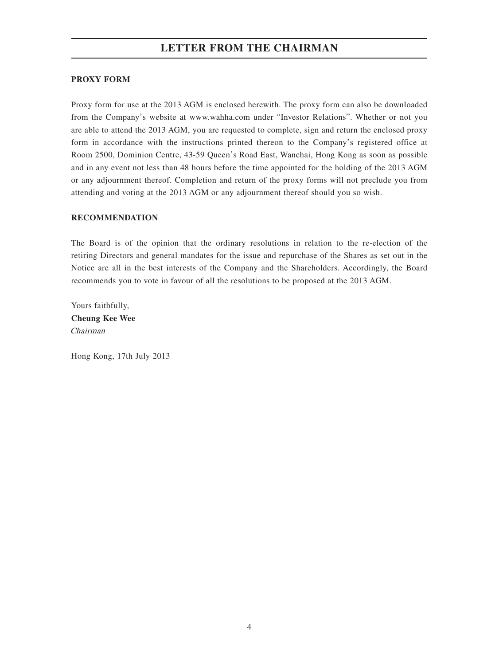### **PROXY FORM**

Proxy form for use at the 2013 AGM is enclosed herewith. The proxy form can also be downloaded from the Company's website at www.wahha.com under "Investor Relations". Whether or not you are able to attend the 2013 AGM, you are requested to complete, sign and return the enclosed proxy form in accordance with the instructions printed thereon to the Company's registered office at Room 2500, Dominion Centre, 43-59 Queen's Road East, Wanchai, Hong Kong as soon as possible and in any event not less than 48 hours before the time appointed for the holding of the 2013 AGM or any adjournment thereof. Completion and return of the proxy forms will not preclude you from attending and voting at the 2013 AGM or any adjournment thereof should you so wish.

#### **RECOMMENDATION**

The Board is of the opinion that the ordinary resolutions in relation to the re-election of the retiring Directors and general mandates for the issue and repurchase of the Shares as set out in the Notice are all in the best interests of the Company and the Shareholders. Accordingly, the Board recommends you to vote in favour of all the resolutions to be proposed at the 2013 AGM.

Yours faithfully, **Cheung Kee Wee** Chairman

Hong Kong, 17th July 2013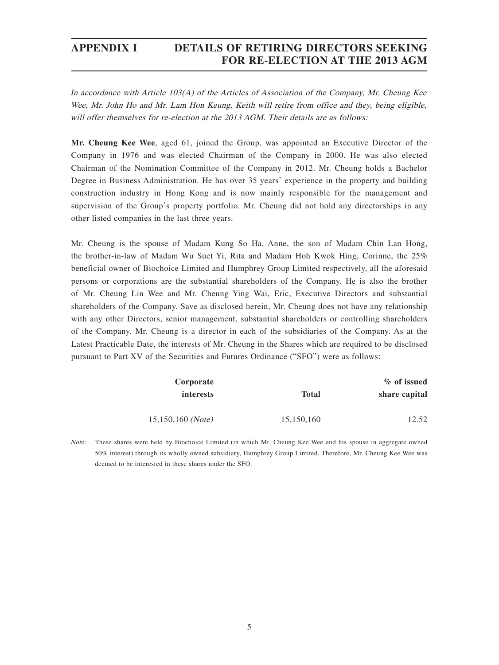In accordance with Article 103(A) of the Articles of Association of the Company, Mr. Cheung Kee Wee, Mr. John Ho and Mr. Lam Hon Keung, Keith will retire from office and they, being eligible, will offer themselves for re-election at the 2013 AGM. Their details are as follows:

**Mr. Cheung Kee Wee**, aged 61, joined the Group, was appointed an Executive Director of the Company in 1976 and was elected Chairman of the Company in 2000. He was also elected Chairman of the Nomination Committee of the Company in 2012. Mr. Cheung holds a Bachelor Degree in Business Administration. He has over 35 years' experience in the property and building construction industry in Hong Kong and is now mainly responsible for the management and supervision of the Group's property portfolio. Mr. Cheung did not hold any directorships in any other listed companies in the last three years.

Mr. Cheung is the spouse of Madam Kung So Ha, Anne, the son of Madam Chin Lan Hong, the brother-in-law of Madam Wu Suet Yi, Rita and Madam Hoh Kwok Hing, Corinne, the 25% beneficial owner of Biochoice Limited and Humphrey Group Limited respectively, all the aforesaid persons or corporations are the substantial shareholders of the Company. He is also the brother of Mr. Cheung Lin Wee and Mr. Cheung Ying Wai, Eric, Executive Directors and substantial shareholders of the Company. Save as disclosed herein, Mr. Cheung does not have any relationship with any other Directors, senior management, substantial shareholders or controlling shareholders of the Company. Mr. Cheung is a director in each of the subsidiaries of the Company. As at the Latest Practicable Date, the interests of Mr. Cheung in the Shares which are required to be disclosed pursuant to Part XV of the Securities and Futures Ordinance ("SFO") were as follows:

| % of issued   | Corporate  |                     |
|---------------|------------|---------------------|
| share capital | Total      | <i>interests</i>    |
| 12.52         | 15,150,160 | $15,150,160$ (Note) |

Note: These shares were held by Biochoice Limited (in which Mr. Cheung Kee Wee and his spouse in aggregate owned 50% interest) through its wholly owned subsidiary, Humphrey Group Limited. Therefore, Mr. Cheung Kee Wee was deemed to be interested in these shares under the SFO.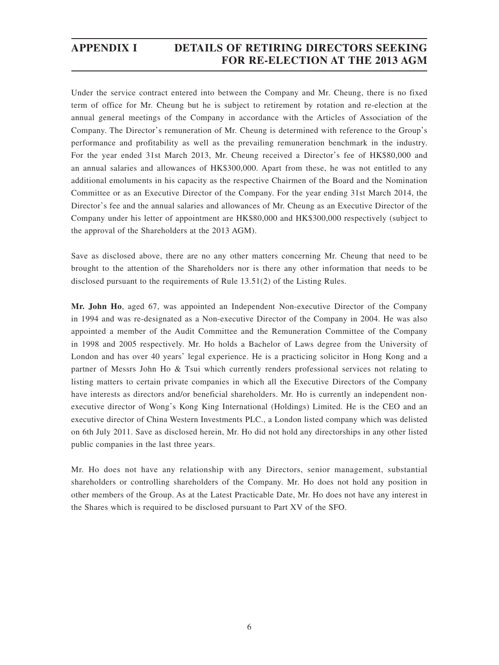Under the service contract entered into between the Company and Mr. Cheung, there is no fixed term of office for Mr. Cheung but he is subject to retirement by rotation and re-election at the annual general meetings of the Company in accordance with the Articles of Association of the Company. The Director's remuneration of Mr. Cheung is determined with reference to the Group's performance and profitability as well as the prevailing remuneration benchmark in the industry. For the year ended 31st March 2013, Mr. Cheung received a Director's fee of HK\$80,000 and an annual salaries and allowances of HK\$300,000. Apart from these, he was not entitled to any additional emoluments in his capacity as the respective Chairmen of the Board and the Nomination Committee or as an Executive Director of the Company. For the year ending 31st March 2014, the Director's fee and the annual salaries and allowances of Mr. Cheung as an Executive Director of the Company under his letter of appointment are HK\$80,000 and HK\$300,000 respectively (subject to the approval of the Shareholders at the 2013 AGM).

Save as disclosed above, there are no any other matters concerning Mr. Cheung that need to be brought to the attention of the Shareholders nor is there any other information that needs to be disclosed pursuant to the requirements of Rule 13.51(2) of the Listing Rules.

**Mr. John Ho**, aged 67, was appointed an Independent Non-executive Director of the Company in 1994 and was re-designated as a Non-executive Director of the Company in 2004. He was also appointed a member of the Audit Committee and the Remuneration Committee of the Company in 1998 and 2005 respectively. Mr. Ho holds a Bachelor of Laws degree from the University of London and has over 40 years' legal experience. He is a practicing solicitor in Hong Kong and a partner of Messrs John Ho & Tsui which currently renders professional services not relating to listing matters to certain private companies in which all the Executive Directors of the Company have interests as directors and/or beneficial shareholders. Mr. Ho is currently an independent nonexecutive director of Wong's Kong King International (Holdings) Limited. He is the CEO and an executive director of China Western Investments PLC., a London listed company which was delisted on 6th July 2011. Save as disclosed herein, Mr. Ho did not hold any directorships in any other listed public companies in the last three years.

Mr. Ho does not have any relationship with any Directors, senior management, substantial shareholders or controlling shareholders of the Company. Mr. Ho does not hold any position in other members of the Group. As at the Latest Practicable Date, Mr. Ho does not have any interest in the Shares which is required to be disclosed pursuant to Part XV of the SFO.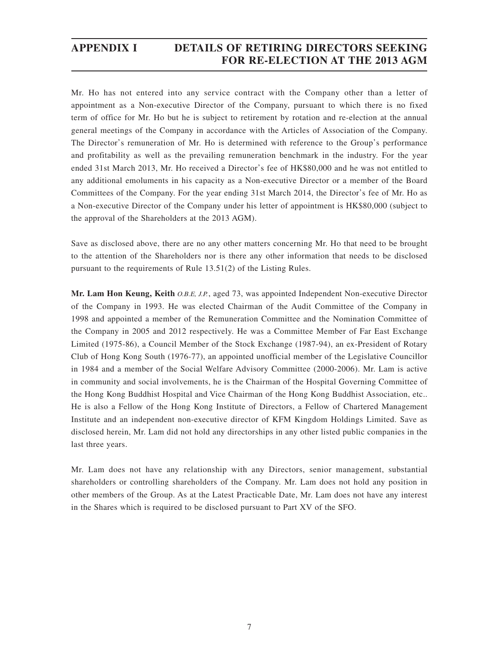Mr. Ho has not entered into any service contract with the Company other than a letter of appointment as a Non-executive Director of the Company, pursuant to which there is no fixed term of office for Mr. Ho but he is subject to retirement by rotation and re-election at the annual general meetings of the Company in accordance with the Articles of Association of the Company. The Director's remuneration of Mr. Ho is determined with reference to the Group's performance and profitability as well as the prevailing remuneration benchmark in the industry. For the year ended 31st March 2013, Mr. Ho received a Director's fee of HK\$80,000 and he was not entitled to any additional emoluments in his capacity as a Non-executive Director or a member of the Board Committees of the Company. For the year ending 31st March 2014, the Director's fee of Mr. Ho as a Non-executive Director of the Company under his letter of appointment is HK\$80,000 (subject to the approval of the Shareholders at the 2013 AGM).

Save as disclosed above, there are no any other matters concerning Mr. Ho that need to be brought to the attention of the Shareholders nor is there any other information that needs to be disclosed pursuant to the requirements of Rule 13.51(2) of the Listing Rules.

**Mr. Lam Hon Keung, Keith** O.B.E, J.P., aged 73, was appointed Independent Non-executive Director of the Company in 1993. He was elected Chairman of the Audit Committee of the Company in 1998 and appointed a member of the Remuneration Committee and the Nomination Committee of the Company in 2005 and 2012 respectively. He was a Committee Member of Far East Exchange Limited (1975-86), a Council Member of the Stock Exchange (1987-94), an ex-President of Rotary Club of Hong Kong South (1976-77), an appointed unofficial member of the Legislative Councillor in 1984 and a member of the Social Welfare Advisory Committee (2000-2006). Mr. Lam is active in community and social involvements, he is the Chairman of the Hospital Governing Committee of the Hong Kong Buddhist Hospital and Vice Chairman of the Hong Kong Buddhist Association, etc.. He is also a Fellow of the Hong Kong Institute of Directors, a Fellow of Chartered Management Institute and an independent non-executive director of KFM Kingdom Holdings Limited. Save as disclosed herein, Mr. Lam did not hold any directorships in any other listed public companies in the last three years.

Mr. Lam does not have any relationship with any Directors, senior management, substantial shareholders or controlling shareholders of the Company. Mr. Lam does not hold any position in other members of the Group. As at the Latest Practicable Date, Mr. Lam does not have any interest in the Shares which is required to be disclosed pursuant to Part XV of the SFO.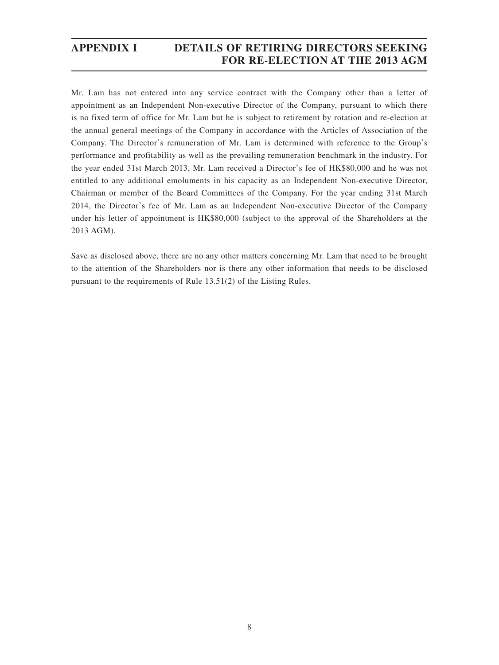Mr. Lam has not entered into any service contract with the Company other than a letter of appointment as an Independent Non-executive Director of the Company, pursuant to which there is no fixed term of office for Mr. Lam but he is subject to retirement by rotation and re-election at the annual general meetings of the Company in accordance with the Articles of Association of the Company. The Director's remuneration of Mr. Lam is determined with reference to the Group's performance and profitability as well as the prevailing remuneration benchmark in the industry. For the year ended 31st March 2013, Mr. Lam received a Director's fee of HK\$80,000 and he was not entitled to any additional emoluments in his capacity as an Independent Non-executive Director, Chairman or member of the Board Committees of the Company. For the year ending 31st March 2014, the Director's fee of Mr. Lam as an Independent Non-executive Director of the Company under his letter of appointment is HK\$80,000 (subject to the approval of the Shareholders at the 2013 AGM).

Save as disclosed above, there are no any other matters concerning Mr. Lam that need to be brought to the attention of the Shareholders nor is there any other information that needs to be disclosed pursuant to the requirements of Rule 13.51(2) of the Listing Rules.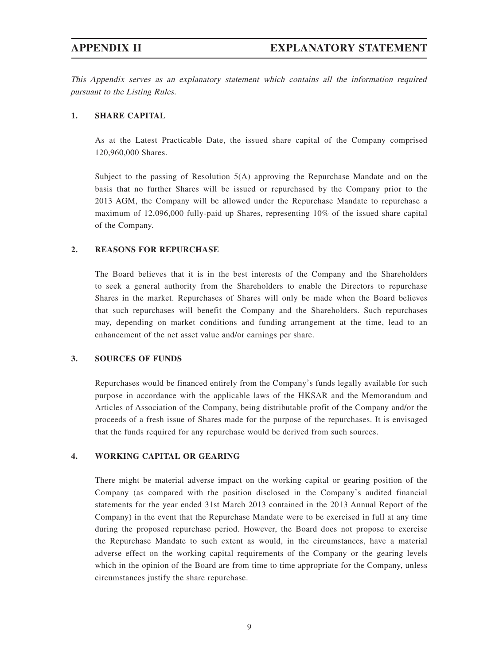This Appendix serves as an explanatory statement which contains all the information required pursuant to the Listing Rules.

#### **1. SHARE CAPITAL**

As at the Latest Practicable Date, the issued share capital of the Company comprised 120,960,000 Shares.

Subject to the passing of Resolution 5(A) approving the Repurchase Mandate and on the basis that no further Shares will be issued or repurchased by the Company prior to the 2013 AGM, the Company will be allowed under the Repurchase Mandate to repurchase a maximum of 12,096,000 fully-paid up Shares, representing 10% of the issued share capital of the Company.

#### **2. REASONS FOR REPURCHASE**

The Board believes that it is in the best interests of the Company and the Shareholders to seek a general authority from the Shareholders to enable the Directors to repurchase Shares in the market. Repurchases of Shares will only be made when the Board believes that such repurchases will benefit the Company and the Shareholders. Such repurchases may, depending on market conditions and funding arrangement at the time, lead to an enhancement of the net asset value and/or earnings per share.

#### **3. SOURCES OF FUNDS**

Repurchases would be financed entirely from the Company's funds legally available for such purpose in accordance with the applicable laws of the HKSAR and the Memorandum and Articles of Association of the Company, being distributable profit of the Company and/or the proceeds of a fresh issue of Shares made for the purpose of the repurchases. It is envisaged that the funds required for any repurchase would be derived from such sources.

#### **4. WORKING CAPITAL OR GEARING**

There might be material adverse impact on the working capital or gearing position of the Company (as compared with the position disclosed in the Company's audited financial statements for the year ended 31st March 2013 contained in the 2013 Annual Report of the Company) in the event that the Repurchase Mandate were to be exercised in full at any time during the proposed repurchase period. However, the Board does not propose to exercise the Repurchase Mandate to such extent as would, in the circumstances, have a material adverse effect on the working capital requirements of the Company or the gearing levels which in the opinion of the Board are from time to time appropriate for the Company, unless circumstances justify the share repurchase.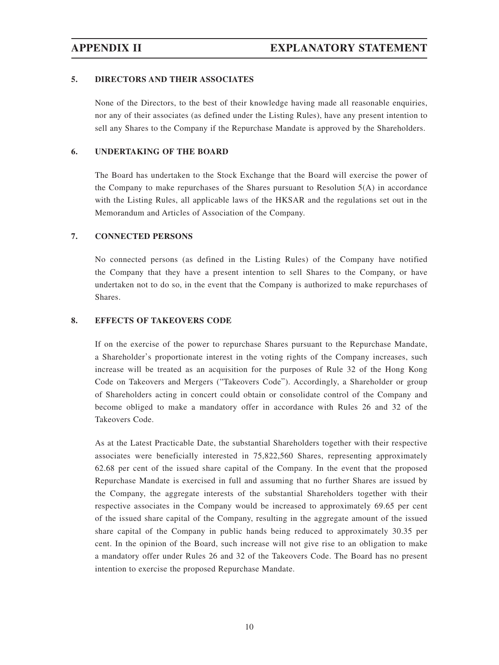#### **5. DIRECTORS AND THEIR ASSOCIATES**

None of the Directors, to the best of their knowledge having made all reasonable enquiries, nor any of their associates (as defined under the Listing Rules), have any present intention to sell any Shares to the Company if the Repurchase Mandate is approved by the Shareholders.

### **6. UNDERTAKING OF THE BOARD**

The Board has undertaken to the Stock Exchange that the Board will exercise the power of the Company to make repurchases of the Shares pursuant to Resolution  $5(A)$  in accordance with the Listing Rules, all applicable laws of the HKSAR and the regulations set out in the Memorandum and Articles of Association of the Company.

#### **7. CONNECTED PERSONS**

No connected persons (as defined in the Listing Rules) of the Company have notified the Company that they have a present intention to sell Shares to the Company, or have undertaken not to do so, in the event that the Company is authorized to make repurchases of Shares.

#### **8. EFFECTS OF TAKEOVERS CODE**

If on the exercise of the power to repurchase Shares pursuant to the Repurchase Mandate, a Shareholder's proportionate interest in the voting rights of the Company increases, such increase will be treated as an acquisition for the purposes of Rule 32 of the Hong Kong Code on Takeovers and Mergers ("Takeovers Code"). Accordingly, a Shareholder or group of Shareholders acting in concert could obtain or consolidate control of the Company and become obliged to make a mandatory offer in accordance with Rules 26 and 32 of the Takeovers Code.

As at the Latest Practicable Date, the substantial Shareholders together with their respective associates were beneficially interested in 75,822,560 Shares, representing approximately 62.68 per cent of the issued share capital of the Company. In the event that the proposed Repurchase Mandate is exercised in full and assuming that no further Shares are issued by the Company, the aggregate interests of the substantial Shareholders together with their respective associates in the Company would be increased to approximately 69.65 per cent of the issued share capital of the Company, resulting in the aggregate amount of the issued share capital of the Company in public hands being reduced to approximately 30.35 per cent. In the opinion of the Board, such increase will not give rise to an obligation to make a mandatory offer under Rules 26 and 32 of the Takeovers Code. The Board has no present intention to exercise the proposed Repurchase Mandate.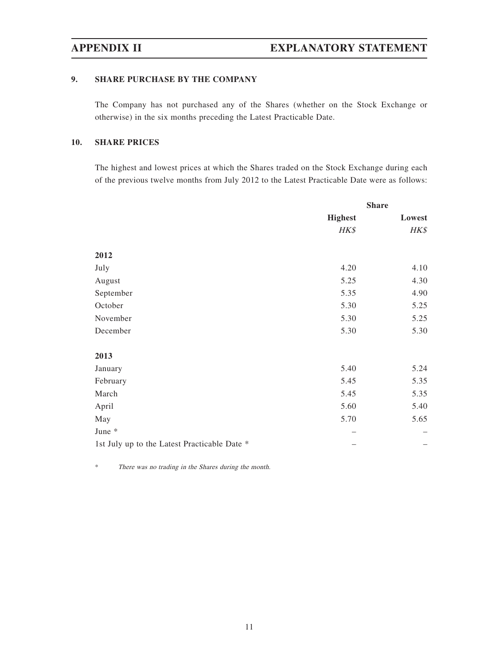### **9. SHARE PURCHASE BY THE COMPANY**

The Company has not purchased any of the Shares (whether on the Stock Exchange or otherwise) in the six months preceding the Latest Practicable Date.

### **10. SHARE PRICES**

The highest and lowest prices at which the Shares traded on the Stock Exchange during each of the previous twelve months from July 2012 to the Latest Practicable Date were as follows:

|                                              | <b>Share</b>   |        |
|----------------------------------------------|----------------|--------|
|                                              | <b>Highest</b> | Lowest |
|                                              | HK\$           | HK\$   |
|                                              |                |        |
| 2012                                         |                |        |
| July                                         | 4.20           | 4.10   |
| August                                       | 5.25           | 4.30   |
| September                                    | 5.35           | 4.90   |
| October                                      | 5.30           | 5.25   |
| November                                     | 5.30           | 5.25   |
| December                                     | 5.30           | 5.30   |
| 2013                                         |                |        |
| January                                      | 5.40           | 5.24   |
| February                                     | 5.45           | 5.35   |
| March                                        | 5.45           | 5.35   |
| April                                        | 5.60           | 5.40   |
| May                                          | 5.70           | 5.65   |
| June *                                       |                |        |
| 1st July up to the Latest Practicable Date * |                |        |

\* There was no trading in the Shares during the month.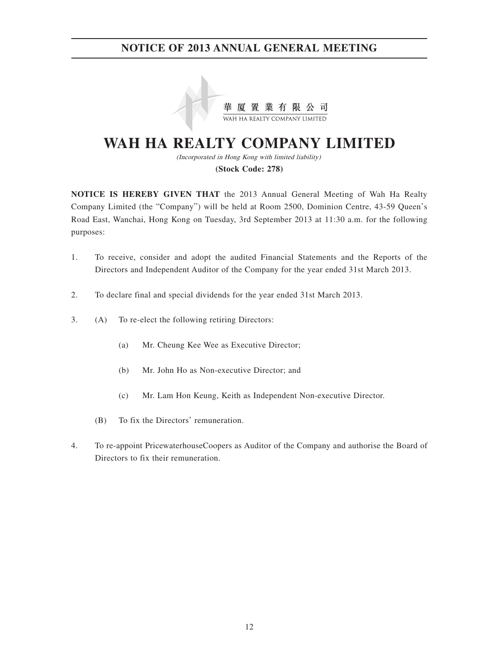

# **WAH HA REALTY COMPANY LIMITED**

(Incorporated in Hong Kong with limited liability) **(Stock Code: 278)**

**NOTICE IS HEREBY GIVEN THAT** the 2013 Annual General Meeting of Wah Ha Realty Company Limited (the "Company") will be held at Room 2500, Dominion Centre, 43-59 Queen's Road East, Wanchai, Hong Kong on Tuesday, 3rd September 2013 at 11:30 a.m. for the following purposes:

- 1. To receive, consider and adopt the audited Financial Statements and the Reports of the Directors and Independent Auditor of the Company for the year ended 31st March 2013.
- 2. To declare final and special dividends for the year ended 31st March 2013.
- 3. (A) To re-elect the following retiring Directors:
	- (a) Mr. Cheung Kee Wee as Executive Director;
	- (b) Mr. John Ho as Non-executive Director; and
	- (c) Mr. Lam Hon Keung, Keith as Independent Non-executive Director.
	- (B) To fix the Directors' remuneration.
- 4. To re-appoint PricewaterhouseCoopers as Auditor of the Company and authorise the Board of Directors to fix their remuneration.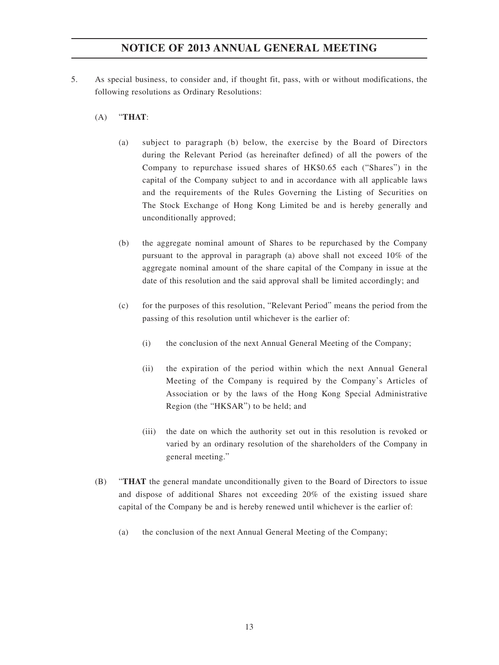- 5. As special business, to consider and, if thought fit, pass, with or without modifications, the following resolutions as Ordinary Resolutions:
	- (A) "**THAT**:
		- (a) subject to paragraph (b) below, the exercise by the Board of Directors during the Relevant Period (as hereinafter defined) of all the powers of the Company to repurchase issued shares of HK\$0.65 each ("Shares") in the capital of the Company subject to and in accordance with all applicable laws and the requirements of the Rules Governing the Listing of Securities on The Stock Exchange of Hong Kong Limited be and is hereby generally and unconditionally approved;
		- (b) the aggregate nominal amount of Shares to be repurchased by the Company pursuant to the approval in paragraph (a) above shall not exceed 10% of the aggregate nominal amount of the share capital of the Company in issue at the date of this resolution and the said approval shall be limited accordingly; and
		- (c) for the purposes of this resolution, "Relevant Period" means the period from the passing of this resolution until whichever is the earlier of:
			- (i) the conclusion of the next Annual General Meeting of the Company;
			- (ii) the expiration of the period within which the next Annual General Meeting of the Company is required by the Company's Articles of Association or by the laws of the Hong Kong Special Administrative Region (the "HKSAR") to be held; and
			- (iii) the date on which the authority set out in this resolution is revoked or varied by an ordinary resolution of the shareholders of the Company in general meeting."
	- (B) "**THAT** the general mandate unconditionally given to the Board of Directors to issue and dispose of additional Shares not exceeding 20% of the existing issued share capital of the Company be and is hereby renewed until whichever is the earlier of:
		- (a) the conclusion of the next Annual General Meeting of the Company;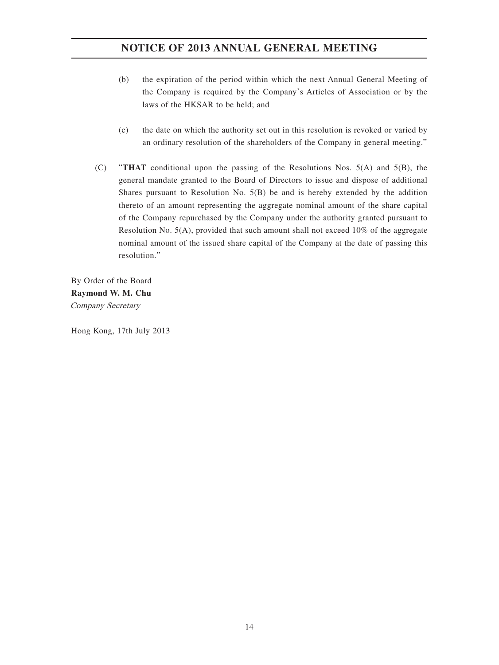- (b) the expiration of the period within which the next Annual General Meeting of the Company is required by the Company's Articles of Association or by the laws of the HKSAR to be held; and
- (c) the date on which the authority set out in this resolution is revoked or varied by an ordinary resolution of the shareholders of the Company in general meeting."
- (C) "**THAT** conditional upon the passing of the Resolutions Nos. 5(A) and 5(B), the general mandate granted to the Board of Directors to issue and dispose of additional Shares pursuant to Resolution No. 5(B) be and is hereby extended by the addition thereto of an amount representing the aggregate nominal amount of the share capital of the Company repurchased by the Company under the authority granted pursuant to Resolution No. 5(A), provided that such amount shall not exceed 10% of the aggregate nominal amount of the issued share capital of the Company at the date of passing this resolution."

By Order of the Board **Raymond W. M. Chu** Company Secretary

Hong Kong, 17th July 2013